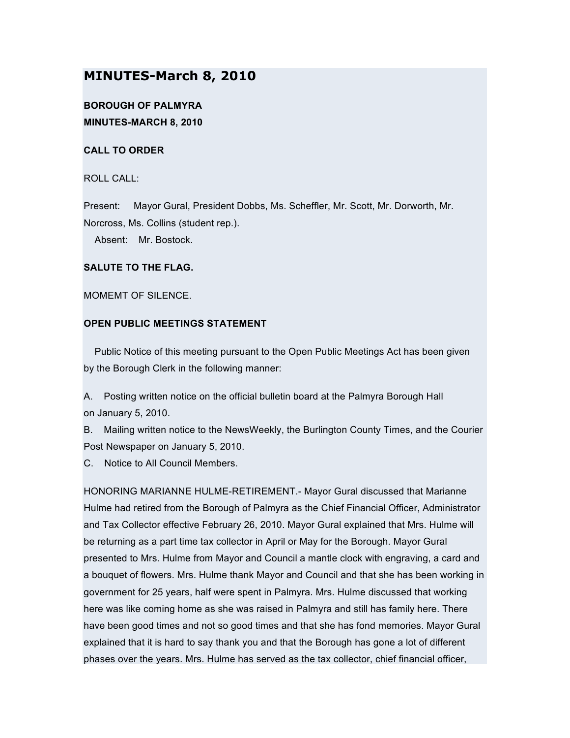# **MINUTES-March 8, 2010**

## **BOROUGH OF PALMYRA MINUTES-MARCH 8, 2010**

**CALL TO ORDER**

ROLL CALL:

Present: Mayor Gural, President Dobbs, Ms. Scheffler, Mr. Scott, Mr. Dorworth, Mr. Norcross, Ms. Collins (student rep.).

Absent: Mr. Bostock.

## **SALUTE TO THE FLAG.**

MOMEMT OF SILENCE.

## **OPEN PUBLIC MEETINGS STATEMENT**

Public Notice of this meeting pursuant to the Open Public Meetings Act has been given by the Borough Clerk in the following manner:

A. Posting written notice on the official bulletin board at the Palmyra Borough Hall on January 5, 2010.

B. Mailing written notice to the NewsWeekly, the Burlington County Times, and the Courier Post Newspaper on January 5, 2010.

C. Notice to All Council Members.

HONORING MARIANNE HULME-RETIREMENT.- Mayor Gural discussed that Marianne Hulme had retired from the Borough of Palmyra as the Chief Financial Officer, Administrator and Tax Collector effective February 26, 2010. Mayor Gural explained that Mrs. Hulme will be returning as a part time tax collector in April or May for the Borough. Mayor Gural presented to Mrs. Hulme from Mayor and Council a mantle clock with engraving, a card and a bouquet of flowers. Mrs. Hulme thank Mayor and Council and that she has been working in government for 25 years, half were spent in Palmyra. Mrs. Hulme discussed that working here was like coming home as she was raised in Palmyra and still has family here. There have been good times and not so good times and that she has fond memories. Mayor Gural explained that it is hard to say thank you and that the Borough has gone a lot of different phases over the years. Mrs. Hulme has served as the tax collector, chief financial officer,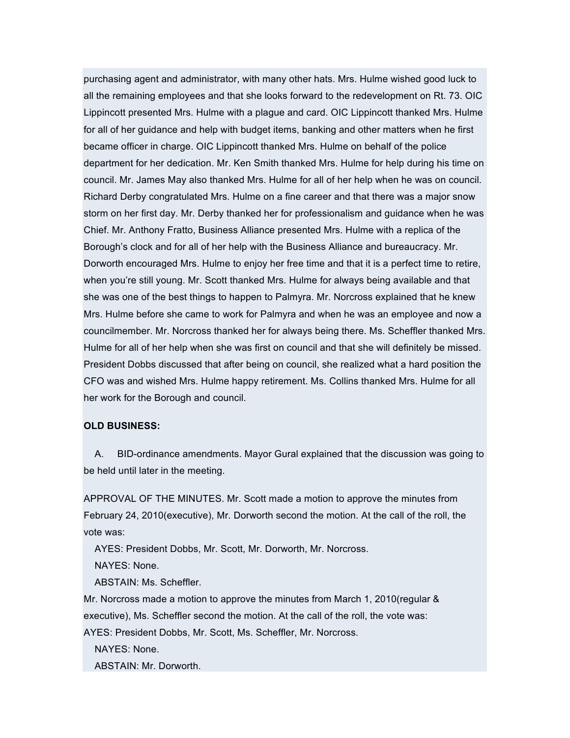purchasing agent and administrator, with many other hats. Mrs. Hulme wished good luck to all the remaining employees and that she looks forward to the redevelopment on Rt. 73. OIC Lippincott presented Mrs. Hulme with a plague and card. OIC Lippincott thanked Mrs. Hulme for all of her guidance and help with budget items, banking and other matters when he first became officer in charge. OIC Lippincott thanked Mrs. Hulme on behalf of the police department for her dedication. Mr. Ken Smith thanked Mrs. Hulme for help during his time on council. Mr. James May also thanked Mrs. Hulme for all of her help when he was on council. Richard Derby congratulated Mrs. Hulme on a fine career and that there was a major snow storm on her first day. Mr. Derby thanked her for professionalism and guidance when he was Chief. Mr. Anthony Fratto, Business Alliance presented Mrs. Hulme with a replica of the Borough's clock and for all of her help with the Business Alliance and bureaucracy. Mr. Dorworth encouraged Mrs. Hulme to enjoy her free time and that it is a perfect time to retire, when you're still young. Mr. Scott thanked Mrs. Hulme for always being available and that she was one of the best things to happen to Palmyra. Mr. Norcross explained that he knew Mrs. Hulme before she came to work for Palmyra and when he was an employee and now a councilmember. Mr. Norcross thanked her for always being there. Ms. Scheffler thanked Mrs. Hulme for all of her help when she was first on council and that she will definitely be missed. President Dobbs discussed that after being on council, she realized what a hard position the CFO was and wished Mrs. Hulme happy retirement. Ms. Collins thanked Mrs. Hulme for all her work for the Borough and council.

#### **OLD BUSINESS:**

A. BID-ordinance amendments. Mayor Gural explained that the discussion was going to be held until later in the meeting.

APPROVAL OF THE MINUTES. Mr. Scott made a motion to approve the minutes from February 24, 2010(executive), Mr. Dorworth second the motion. At the call of the roll, the vote was:

AYES: President Dobbs, Mr. Scott, Mr. Dorworth, Mr. Norcross.

NAYES: None.

ABSTAIN: Ms. Scheffler.

Mr. Norcross made a motion to approve the minutes from March 1, 2010(regular & executive), Ms. Scheffler second the motion. At the call of the roll, the vote was:

AYES: President Dobbs, Mr. Scott, Ms. Scheffler, Mr. Norcross.

NAYES: None.

ABSTAIN: Mr. Dorworth.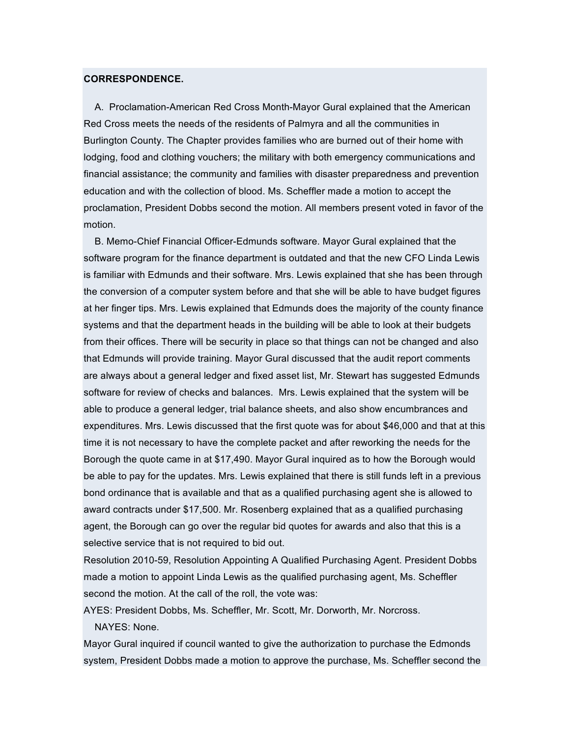#### **CORRESPONDENCE.**

A. Proclamation-American Red Cross Month-Mayor Gural explained that the American Red Cross meets the needs of the residents of Palmyra and all the communities in Burlington County. The Chapter provides families who are burned out of their home with lodging, food and clothing vouchers; the military with both emergency communications and financial assistance; the community and families with disaster preparedness and prevention education and with the collection of blood. Ms. Scheffler made a motion to accept the proclamation, President Dobbs second the motion. All members present voted in favor of the motion.

B. Memo-Chief Financial Officer-Edmunds software. Mayor Gural explained that the software program for the finance department is outdated and that the new CFO Linda Lewis is familiar with Edmunds and their software. Mrs. Lewis explained that she has been through the conversion of a computer system before and that she will be able to have budget figures at her finger tips. Mrs. Lewis explained that Edmunds does the majority of the county finance systems and that the department heads in the building will be able to look at their budgets from their offices. There will be security in place so that things can not be changed and also that Edmunds will provide training. Mayor Gural discussed that the audit report comments are always about a general ledger and fixed asset list, Mr. Stewart has suggested Edmunds software for review of checks and balances. Mrs. Lewis explained that the system will be able to produce a general ledger, trial balance sheets, and also show encumbrances and expenditures. Mrs. Lewis discussed that the first quote was for about \$46,000 and that at this time it is not necessary to have the complete packet and after reworking the needs for the Borough the quote came in at \$17,490. Mayor Gural inquired as to how the Borough would be able to pay for the updates. Mrs. Lewis explained that there is still funds left in a previous bond ordinance that is available and that as a qualified purchasing agent she is allowed to award contracts under \$17,500. Mr. Rosenberg explained that as a qualified purchasing agent, the Borough can go over the regular bid quotes for awards and also that this is a selective service that is not required to bid out.

Resolution 2010-59, Resolution Appointing A Qualified Purchasing Agent. President Dobbs made a motion to appoint Linda Lewis as the qualified purchasing agent, Ms. Scheffler second the motion. At the call of the roll, the vote was:

AYES: President Dobbs, Ms. Scheffler, Mr. Scott, Mr. Dorworth, Mr. Norcross.

NAYES: None.

Mayor Gural inquired if council wanted to give the authorization to purchase the Edmonds system, President Dobbs made a motion to approve the purchase, Ms. Scheffler second the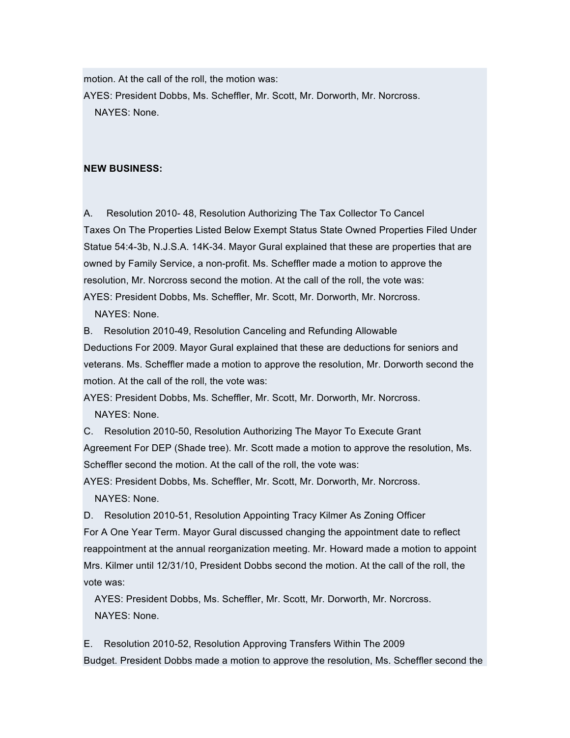motion. At the call of the roll, the motion was:

AYES: President Dobbs, Ms. Scheffler, Mr. Scott, Mr. Dorworth, Mr. Norcross. NAYES: None.

### **NEW BUSINESS:**

A. Resolution 2010- 48, Resolution Authorizing The Tax Collector To Cancel Taxes On The Properties Listed Below Exempt Status State Owned Properties Filed Under Statue 54:4-3b, N.J.S.A. 14K-34. Mayor Gural explained that these are properties that are owned by Family Service, a non-profit. Ms. Scheffler made a motion to approve the resolution, Mr. Norcross second the motion. At the call of the roll, the vote was: AYES: President Dobbs, Ms. Scheffler, Mr. Scott, Mr. Dorworth, Mr. Norcross.

NAYES: None.

B. Resolution 2010-49, Resolution Canceling and Refunding Allowable Deductions For 2009. Mayor Gural explained that these are deductions for seniors and veterans. Ms. Scheffler made a motion to approve the resolution, Mr. Dorworth second the motion. At the call of the roll, the vote was:

AYES: President Dobbs, Ms. Scheffler, Mr. Scott, Mr. Dorworth, Mr. Norcross. NAYES: None.

C. Resolution 2010-50, Resolution Authorizing The Mayor To Execute Grant Agreement For DEP (Shade tree). Mr. Scott made a motion to approve the resolution, Ms. Scheffler second the motion. At the call of the roll, the vote was:

AYES: President Dobbs, Ms. Scheffler, Mr. Scott, Mr. Dorworth, Mr. Norcross. NAYES: None.

D. Resolution 2010-51, Resolution Appointing Tracy Kilmer As Zoning Officer For A One Year Term. Mayor Gural discussed changing the appointment date to reflect reappointment at the annual reorganization meeting. Mr. Howard made a motion to appoint Mrs. Kilmer until 12/31/10, President Dobbs second the motion. At the call of the roll, the vote was:

AYES: President Dobbs, Ms. Scheffler, Mr. Scott, Mr. Dorworth, Mr. Norcross. NAYES: None.

E. Resolution 2010-52, Resolution Approving Transfers Within The 2009 Budget. President Dobbs made a motion to approve the resolution, Ms. Scheffler second the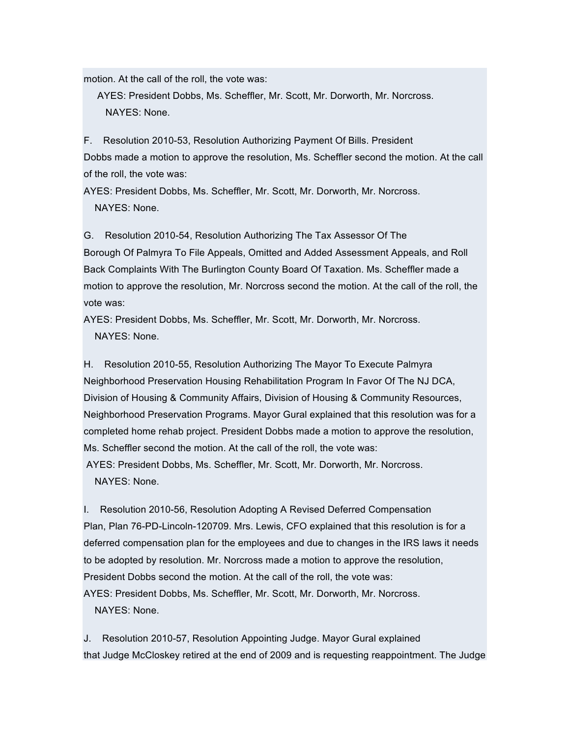motion. At the call of the roll, the vote was:

AYES: President Dobbs, Ms. Scheffler, Mr. Scott, Mr. Dorworth, Mr. Norcross. NAYES: None.

F. Resolution 2010-53, Resolution Authorizing Payment Of Bills. President Dobbs made a motion to approve the resolution, Ms. Scheffler second the motion. At the call of the roll, the vote was:

AYES: President Dobbs, Ms. Scheffler, Mr. Scott, Mr. Dorworth, Mr. Norcross. NAYES: None.

G. Resolution 2010-54, Resolution Authorizing The Tax Assessor Of The Borough Of Palmyra To File Appeals, Omitted and Added Assessment Appeals, and Roll Back Complaints With The Burlington County Board Of Taxation. Ms. Scheffler made a motion to approve the resolution, Mr. Norcross second the motion. At the call of the roll, the vote was:

AYES: President Dobbs, Ms. Scheffler, Mr. Scott, Mr. Dorworth, Mr. Norcross. NAYES: None.

H. Resolution 2010-55, Resolution Authorizing The Mayor To Execute Palmyra Neighborhood Preservation Housing Rehabilitation Program In Favor Of The NJ DCA, Division of Housing & Community Affairs, Division of Housing & Community Resources, Neighborhood Preservation Programs. Mayor Gural explained that this resolution was for a completed home rehab project. President Dobbs made a motion to approve the resolution, Ms. Scheffler second the motion. At the call of the roll, the vote was: AYES: President Dobbs, Ms. Scheffler, Mr. Scott, Mr. Dorworth, Mr. Norcross. NAYES: None.

I. Resolution 2010-56, Resolution Adopting A Revised Deferred Compensation Plan, Plan 76-PD-Lincoln-120709. Mrs. Lewis, CFO explained that this resolution is for a deferred compensation plan for the employees and due to changes in the IRS laws it needs to be adopted by resolution. Mr. Norcross made a motion to approve the resolution, President Dobbs second the motion. At the call of the roll, the vote was: AYES: President Dobbs, Ms. Scheffler, Mr. Scott, Mr. Dorworth, Mr. Norcross. NAYES: None.

J. Resolution 2010-57, Resolution Appointing Judge. Mayor Gural explained that Judge McCloskey retired at the end of 2009 and is requesting reappointment. The Judge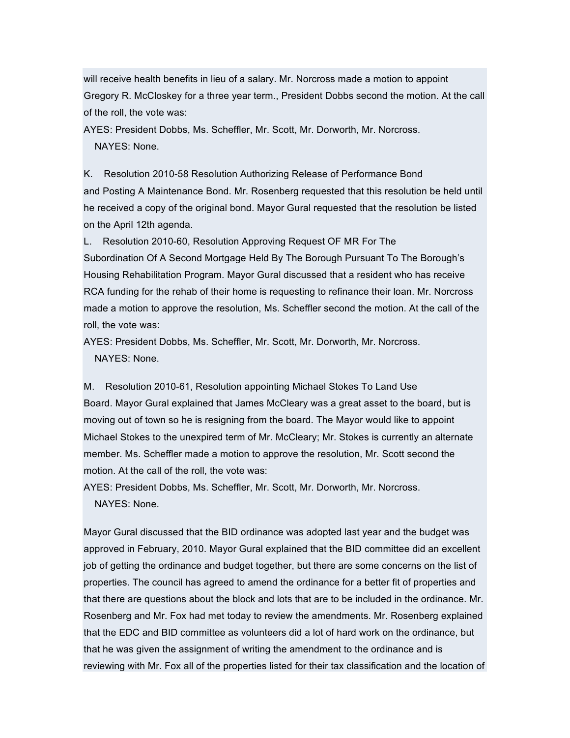will receive health benefits in lieu of a salary. Mr. Norcross made a motion to appoint Gregory R. McCloskey for a three year term., President Dobbs second the motion. At the call of the roll, the vote was:

AYES: President Dobbs, Ms. Scheffler, Mr. Scott, Mr. Dorworth, Mr. Norcross. NAYES: None.

K. Resolution 2010-58 Resolution Authorizing Release of Performance Bond and Posting A Maintenance Bond. Mr. Rosenberg requested that this resolution be held until he received a copy of the original bond. Mayor Gural requested that the resolution be listed on the April 12th agenda.

L. Resolution 2010-60, Resolution Approving Request OF MR For The Subordination Of A Second Mortgage Held By The Borough Pursuant To The Borough's Housing Rehabilitation Program. Mayor Gural discussed that a resident who has receive RCA funding for the rehab of their home is requesting to refinance their loan. Mr. Norcross made a motion to approve the resolution, Ms. Scheffler second the motion. At the call of the roll, the vote was:

AYES: President Dobbs, Ms. Scheffler, Mr. Scott, Mr. Dorworth, Mr. Norcross. NAYES: None.

M. Resolution 2010-61, Resolution appointing Michael Stokes To Land Use Board. Mayor Gural explained that James McCleary was a great asset to the board, but is moving out of town so he is resigning from the board. The Mayor would like to appoint Michael Stokes to the unexpired term of Mr. McCleary; Mr. Stokes is currently an alternate member. Ms. Scheffler made a motion to approve the resolution, Mr. Scott second the motion. At the call of the roll, the vote was:

AYES: President Dobbs, Ms. Scheffler, Mr. Scott, Mr. Dorworth, Mr. Norcross. NAYES: None.

Mayor Gural discussed that the BID ordinance was adopted last year and the budget was approved in February, 2010. Mayor Gural explained that the BID committee did an excellent job of getting the ordinance and budget together, but there are some concerns on the list of properties. The council has agreed to amend the ordinance for a better fit of properties and that there are questions about the block and lots that are to be included in the ordinance. Mr. Rosenberg and Mr. Fox had met today to review the amendments. Mr. Rosenberg explained that the EDC and BID committee as volunteers did a lot of hard work on the ordinance, but that he was given the assignment of writing the amendment to the ordinance and is reviewing with Mr. Fox all of the properties listed for their tax classification and the location of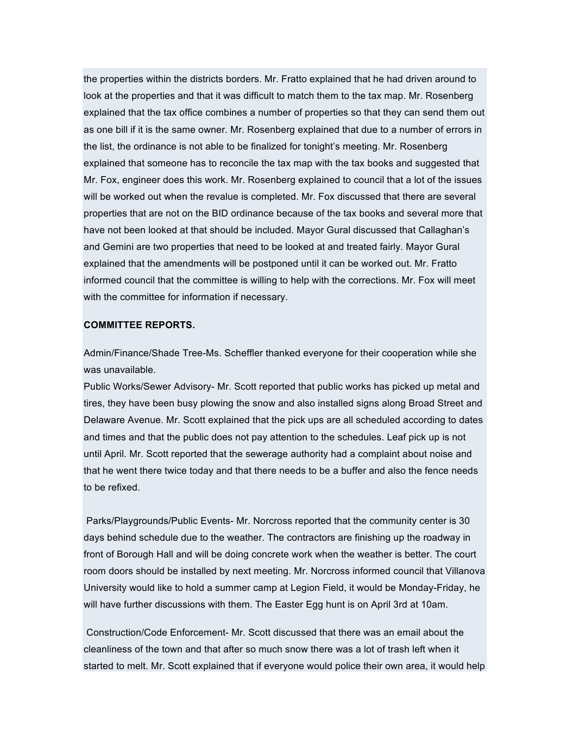the properties within the districts borders. Mr. Fratto explained that he had driven around to look at the properties and that it was difficult to match them to the tax map. Mr. Rosenberg explained that the tax office combines a number of properties so that they can send them out as one bill if it is the same owner. Mr. Rosenberg explained that due to a number of errors in the list, the ordinance is not able to be finalized for tonight's meeting. Mr. Rosenberg explained that someone has to reconcile the tax map with the tax books and suggested that Mr. Fox, engineer does this work. Mr. Rosenberg explained to council that a lot of the issues will be worked out when the revalue is completed. Mr. Fox discussed that there are several properties that are not on the BID ordinance because of the tax books and several more that have not been looked at that should be included. Mayor Gural discussed that Callaghan's and Gemini are two properties that need to be looked at and treated fairly. Mayor Gural explained that the amendments will be postponed until it can be worked out. Mr. Fratto informed council that the committee is willing to help with the corrections. Mr. Fox will meet with the committee for information if necessary.

#### **COMMITTEE REPORTS.**

Admin/Finance/Shade Tree-Ms. Scheffler thanked everyone for their cooperation while she was unavailable.

Public Works/Sewer Advisory- Mr. Scott reported that public works has picked up metal and tires, they have been busy plowing the snow and also installed signs along Broad Street and Delaware Avenue. Mr. Scott explained that the pick ups are all scheduled according to dates and times and that the public does not pay attention to the schedules. Leaf pick up is not until April. Mr. Scott reported that the sewerage authority had a complaint about noise and that he went there twice today and that there needs to be a buffer and also the fence needs to be refixed.

Parks/Playgrounds/Public Events- Mr. Norcross reported that the community center is 30 days behind schedule due to the weather. The contractors are finishing up the roadway in front of Borough Hall and will be doing concrete work when the weather is better. The court room doors should be installed by next meeting. Mr. Norcross informed council that Villanova University would like to hold a summer camp at Legion Field, it would be Monday-Friday, he will have further discussions with them. The Easter Egg hunt is on April 3rd at 10am.

Construction/Code Enforcement- Mr. Scott discussed that there was an email about the cleanliness of the town and that after so much snow there was a lot of trash left when it started to melt. Mr. Scott explained that if everyone would police their own area, it would help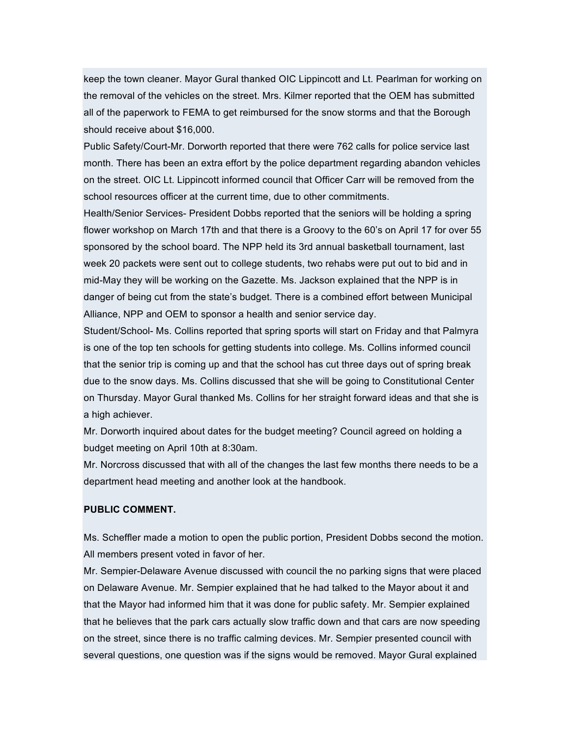keep the town cleaner. Mayor Gural thanked OIC Lippincott and Lt. Pearlman for working on the removal of the vehicles on the street. Mrs. Kilmer reported that the OEM has submitted all of the paperwork to FEMA to get reimbursed for the snow storms and that the Borough should receive about \$16,000.

Public Safety/Court-Mr. Dorworth reported that there were 762 calls for police service last month. There has been an extra effort by the police department regarding abandon vehicles on the street. OIC Lt. Lippincott informed council that Officer Carr will be removed from the school resources officer at the current time, due to other commitments.

Health/Senior Services- President Dobbs reported that the seniors will be holding a spring flower workshop on March 17th and that there is a Groovy to the 60's on April 17 for over 55 sponsored by the school board. The NPP held its 3rd annual basketball tournament, last week 20 packets were sent out to college students, two rehabs were put out to bid and in mid-May they will be working on the Gazette. Ms. Jackson explained that the NPP is in danger of being cut from the state's budget. There is a combined effort between Municipal Alliance, NPP and OEM to sponsor a health and senior service day.

Student/School- Ms. Collins reported that spring sports will start on Friday and that Palmyra is one of the top ten schools for getting students into college. Ms. Collins informed council that the senior trip is coming up and that the school has cut three days out of spring break due to the snow days. Ms. Collins discussed that she will be going to Constitutional Center on Thursday. Mayor Gural thanked Ms. Collins for her straight forward ideas and that she is a high achiever.

Mr. Dorworth inquired about dates for the budget meeting? Council agreed on holding a budget meeting on April 10th at 8:30am.

Mr. Norcross discussed that with all of the changes the last few months there needs to be a department head meeting and another look at the handbook.

#### **PUBLIC COMMENT.**

Ms. Scheffler made a motion to open the public portion, President Dobbs second the motion. All members present voted in favor of her.

Mr. Sempier-Delaware Avenue discussed with council the no parking signs that were placed on Delaware Avenue. Mr. Sempier explained that he had talked to the Mayor about it and that the Mayor had informed him that it was done for public safety. Mr. Sempier explained that he believes that the park cars actually slow traffic down and that cars are now speeding on the street, since there is no traffic calming devices. Mr. Sempier presented council with several questions, one question was if the signs would be removed. Mayor Gural explained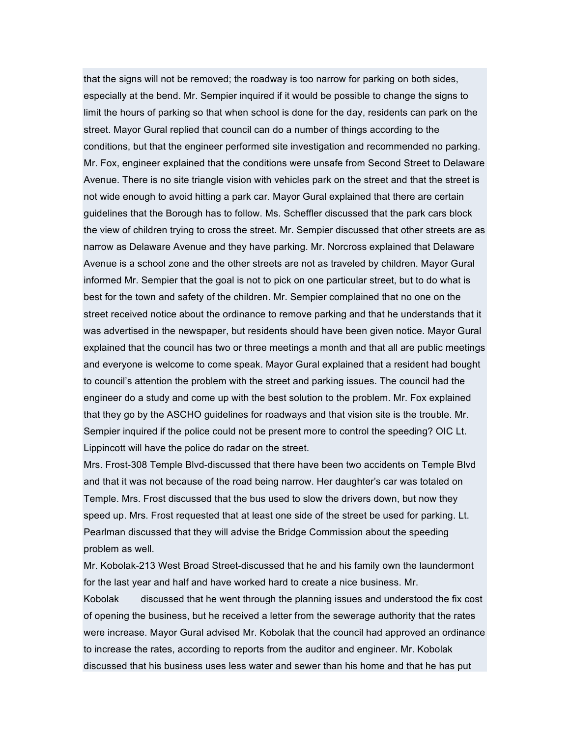that the signs will not be removed; the roadway is too narrow for parking on both sides, especially at the bend. Mr. Sempier inquired if it would be possible to change the signs to limit the hours of parking so that when school is done for the day, residents can park on the street. Mayor Gural replied that council can do a number of things according to the conditions, but that the engineer performed site investigation and recommended no parking. Mr. Fox, engineer explained that the conditions were unsafe from Second Street to Delaware Avenue. There is no site triangle vision with vehicles park on the street and that the street is not wide enough to avoid hitting a park car. Mayor Gural explained that there are certain guidelines that the Borough has to follow. Ms. Scheffler discussed that the park cars block the view of children trying to cross the street. Mr. Sempier discussed that other streets are as narrow as Delaware Avenue and they have parking. Mr. Norcross explained that Delaware Avenue is a school zone and the other streets are not as traveled by children. Mayor Gural informed Mr. Sempier that the goal is not to pick on one particular street, but to do what is best for the town and safety of the children. Mr. Sempier complained that no one on the street received notice about the ordinance to remove parking and that he understands that it was advertised in the newspaper, but residents should have been given notice. Mayor Gural explained that the council has two or three meetings a month and that all are public meetings and everyone is welcome to come speak. Mayor Gural explained that a resident had bought to council's attention the problem with the street and parking issues. The council had the engineer do a study and come up with the best solution to the problem. Mr. Fox explained that they go by the ASCHO guidelines for roadways and that vision site is the trouble. Mr. Sempier inquired if the police could not be present more to control the speeding? OIC Lt. Lippincott will have the police do radar on the street.

Mrs. Frost-308 Temple Blvd-discussed that there have been two accidents on Temple Blvd and that it was not because of the road being narrow. Her daughter's car was totaled on Temple. Mrs. Frost discussed that the bus used to slow the drivers down, but now they speed up. Mrs. Frost requested that at least one side of the street be used for parking. Lt. Pearlman discussed that they will advise the Bridge Commission about the speeding problem as well.

Mr. Kobolak-213 West Broad Street-discussed that he and his family own the laundermont for the last year and half and have worked hard to create a nice business. Mr.

Kobolak discussed that he went through the planning issues and understood the fix cost of opening the business, but he received a letter from the sewerage authority that the rates were increase. Mayor Gural advised Mr. Kobolak that the council had approved an ordinance to increase the rates, according to reports from the auditor and engineer. Mr. Kobolak discussed that his business uses less water and sewer than his home and that he has put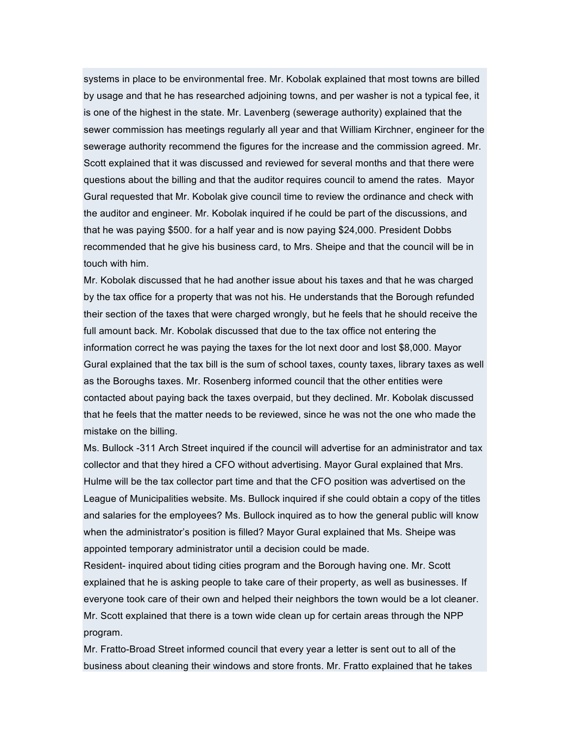systems in place to be environmental free. Mr. Kobolak explained that most towns are billed by usage and that he has researched adjoining towns, and per washer is not a typical fee, it is one of the highest in the state. Mr. Lavenberg (sewerage authority) explained that the sewer commission has meetings regularly all year and that William Kirchner, engineer for the sewerage authority recommend the figures for the increase and the commission agreed. Mr. Scott explained that it was discussed and reviewed for several months and that there were questions about the billing and that the auditor requires council to amend the rates. Mayor Gural requested that Mr. Kobolak give council time to review the ordinance and check with the auditor and engineer. Mr. Kobolak inquired if he could be part of the discussions, and that he was paying \$500. for a half year and is now paying \$24,000. President Dobbs recommended that he give his business card, to Mrs. Sheipe and that the council will be in touch with him.

Mr. Kobolak discussed that he had another issue about his taxes and that he was charged by the tax office for a property that was not his. He understands that the Borough refunded their section of the taxes that were charged wrongly, but he feels that he should receive the full amount back. Mr. Kobolak discussed that due to the tax office not entering the information correct he was paying the taxes for the lot next door and lost \$8,000. Mayor Gural explained that the tax bill is the sum of school taxes, county taxes, library taxes as well as the Boroughs taxes. Mr. Rosenberg informed council that the other entities were contacted about paying back the taxes overpaid, but they declined. Mr. Kobolak discussed that he feels that the matter needs to be reviewed, since he was not the one who made the mistake on the billing.

Ms. Bullock -311 Arch Street inquired if the council will advertise for an administrator and tax collector and that they hired a CFO without advertising. Mayor Gural explained that Mrs. Hulme will be the tax collector part time and that the CFO position was advertised on the League of Municipalities website. Ms. Bullock inquired if she could obtain a copy of the titles and salaries for the employees? Ms. Bullock inquired as to how the general public will know when the administrator's position is filled? Mayor Gural explained that Ms. Sheipe was appointed temporary administrator until a decision could be made.

Resident- inquired about tiding cities program and the Borough having one. Mr. Scott explained that he is asking people to take care of their property, as well as businesses. If everyone took care of their own and helped their neighbors the town would be a lot cleaner. Mr. Scott explained that there is a town wide clean up for certain areas through the NPP program.

Mr. Fratto-Broad Street informed council that every year a letter is sent out to all of the business about cleaning their windows and store fronts. Mr. Fratto explained that he takes